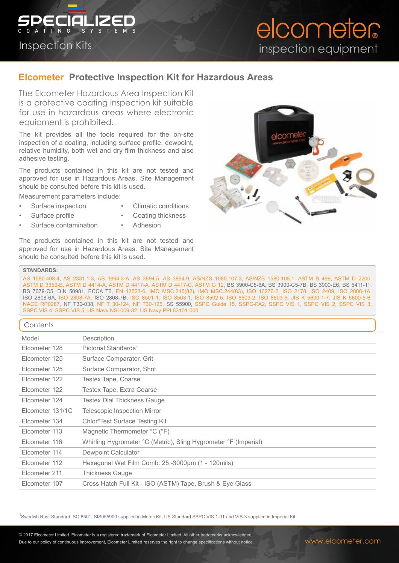

# elcometer inspection equipment

## **Elcometer Protective Inspection Kit for Hazardous Areas**

The Elcometer Hazardous Area Inspection Kit is a protective coating inspection kit suitable for use in hazardous areas where electronic equipment is prohibited.

The kit provides all the tools required for the on-site inspection of a coating, including surface profile, dewpoint, relative humidity, both wet and dry film thickness and also adhesive testing.

The products contained in this kit are not tested and approved for use in Hazardous Areas. Site Management should be consulted before this kit is used.

Measurement parameters include:

- 
- Surface inspection Climatic conditions
- Surface profile Coating thickness
	-
- Surface contamination Adhesion
	-

The products contained in this kit are not tested and approved for use in Hazardous Areas. Site Management should be consulted before this kit is used.



#### **STANDARDS:**

AS 1580.408.4, AS 2331.1.3, AS 3894.3-A, AS 3894.5, AS 3894.9, AS/NZS 1580.107.3, AS/NZS 1580.108.1, ASTM B 499, ASTM D 2200, ASTM D 3359-B, ASTM D 4414-A, ASTM D 4417-A, ASTM D 4417-C, ASTM G 12, BS 3900-C5-6A, BS 3900-C5-7B, BS 3900-E6, BS 5411-11, BS 7079-C5, DIN 50981, ECCA T6, EN 13523-6, IMO MSC.215(82), IMO MSC.244(83), ISO 16276-2, ISO 2178, ISO 2409, ISO 2808-1A, ISO 2808-6A, ISO 2808-7A, ISO 2808-7B, ISO 8501-1, ISO 8503-1, ISO 8502-5, ISO 8503-2, ISO 8503-5, JIS K 5600-1-7, JIS K 5600-5-6, NACE RP0287, NF T30-038, NF T 30-124, NF T30-125, SS 55900, SSPC Guide 15, SSPC-PA2, SSPC VIS 1, SSPC VIS 2, SSPC VIS 3, SSPC VIS 4, SSPC VIS 5, US Navy NSI 009-32, US Navy PPI 63101-000

### $C$ ontents

| CONTENTS         |                                                                 |  |  |
|------------------|-----------------------------------------------------------------|--|--|
| Model            | Description                                                     |  |  |
| Elcometer 128    | Pictorial Standards <sup>1</sup>                                |  |  |
| Elcometer 125    | Surface Comparator, Grit                                        |  |  |
| Elcometer 125    | Surface Comparator, Shot                                        |  |  |
| Elcometer 122    | <b>Testex Tape, Coarse</b>                                      |  |  |
| Elcometer 122    | Testex Tape, Extra Coarse                                       |  |  |
| Elcometer 124    | Testex Dial Thickness Gauge                                     |  |  |
| Elcometer 131/1C | Telescopic Inspection Mirror                                    |  |  |
| Elcometer 134    | Chlor*Test Surface Testing Kit                                  |  |  |
| Elcometer 113    | Magnetic Thermometer °C (°F)                                    |  |  |
| Elcometer 116    | Whirling Hygrometer °C (Metric), Sling Hygrometer °F (Imperial) |  |  |
| Elcometer 114    | Dewpoint Calculator                                             |  |  |
| Elcometer 112    | Hexagonal Wet Film Comb: 25 -3000µm (1 - 120mils)               |  |  |
| Elcometer 211    | <b>Thickness Gauge</b>                                          |  |  |
| Elcometer 107    | Cross Hatch Full Kit - ISO (ASTM) Tape, Brush & Eye Glass       |  |  |
|                  |                                                                 |  |  |

<sup>1</sup>Swedish Rust Standard ISO 8501, SIS055900 supplied in Metric Kit, US Standard SSPC VIS 1-01 and VIS-3 supplied in Imperial Kit

Due to our policy of continuous improvement, Elcometer Limited reserves the right to change specifications without notice.